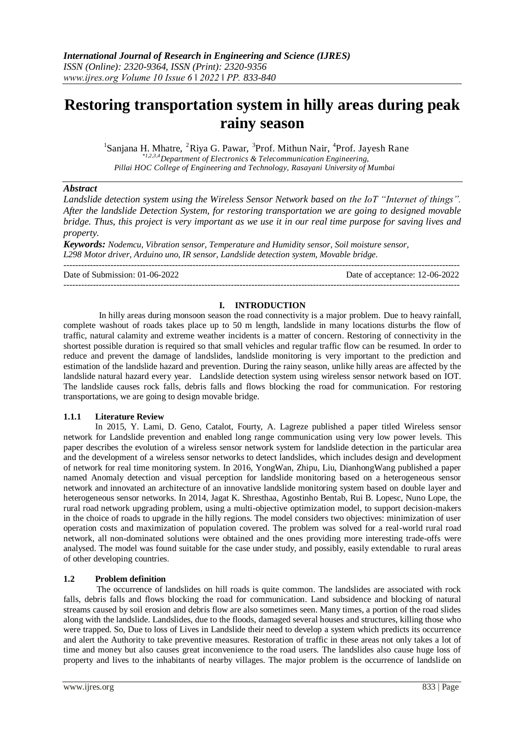# **Restoring transportation system in hilly areas during peak rainy season**

<sup>1</sup>Sanjana H. Mhatre, <sup>2</sup>Riya G. Pawar, <sup>3</sup>Prof. Mithun Nair, <sup>4</sup>Prof. Jayesh Rane  *\*1,2,3,4Department of Electronics & Telecommunication Engineering, Pillai HOC College of Engineering and Technology, Rasayani University of Mumbai*

## *Abstract*

*Landslide detection system using the Wireless Sensor Network based on the IoT "Internet of things". After the landslide Detection System, for restoring transportation we are going to designed movable bridge. Thus, this project is very important as we use it in our real time purpose for saving lives and property.*

*Keywords: Nodemcu, Vibration sensor, Temperature and Humidity sensor, Soil moisture sensor, L298 Motor driver, Arduino uno, IR sensor, Landslide detection system, Movable bridge.*  ---------------------------------------------------------------------------------------------------------------------------------------

Date of Submission: 01-06-2022 Date of acceptance: 12-06-2022

---------------------------------------------------------------------------------------------------------------------------------------

## **I. INTRODUCTION**

In hilly areas during monsoon season the road connectivity is a major problem. Due to heavy rainfall, complete washout of roads takes place up to 50 m length, landslide in many locations disturbs the flow of traffic, natural calamity and extreme weather incidents is a matter of concern. Restoring of connectivity in the shortest possible duration is required so that small vehicles and regular traffic flow can be resumed. In order to reduce and prevent the damage of landslides, landslide monitoring is very important to the prediction and estimation of the landslide hazard and prevention. During the rainy season, unlike hilly areas are affected by the landslide natural hazard every year. Landslide detection system using wireless sensor network based on IOT. The landslide causes rock falls, debris falls and flows blocking the road for communication. For restoring transportations, we are going to design movable bridge.

## **1.1.1 Literature Review**

In 2015, Y. Lami, D. Geno, Catalot, Fourty, A. Lagreze published a paper titled Wireless sensor network for Landslide prevention and enabled long range communication using very low power levels. This paper describes the evolution of a wireless sensor network system for landslide detection in the particular area and the development of a wireless sensor networks to detect landslides, which includes design and development of network for real time monitoring system. In 2016, YongWan, Zhipu, Liu, DianhongWang published a paper named Anomaly detection and visual perception for landslide monitoring based on a heterogeneous sensor network and innovated an architecture of an innovative landslide monitoring system based on double layer and heterogeneous sensor networks. In 2014, Jagat K. Shresthaa, Agostinho Bentab, Rui B. Lopesc, Nuno Lope, the rural road network upgrading problem, using a multi-objective optimization model, to support decision-makers in the choice of roads to upgrade in the hilly regions. The model considers two objectives: minimization of user operation costs and maximization of population covered. The problem was solved for a real-world rural road network, all non-dominated solutions were obtained and the ones providing more interesting trade-offs were analysed. The model was found suitable for the case under study, and possibly, easily extendable to rural areas of other developing countries.

## **1.2 Problem definition**

 The occurrence of landslides on hill roads is quite common. The landslides are associated with rock falls, debris falls and flows blocking the road for communication. Land subsidence and blocking of natural streams caused by soil erosion and debris flow are also sometimes seen. Many times, a portion of the road slides along with the landslide. Landslides, due to the floods, damaged several houses and structures, killing those who were trapped. So, Due to loss of Lives in Landslide their need to develop a system which predicts its occurrence and alert the Authority to take preventive measures. Restoration of traffic in these areas not only takes a lot of time and money but also causes great inconvenience to the road users. The landslides also cause huge loss of property and lives to the inhabitants of nearby villages. The major problem is the occurrence of landslide on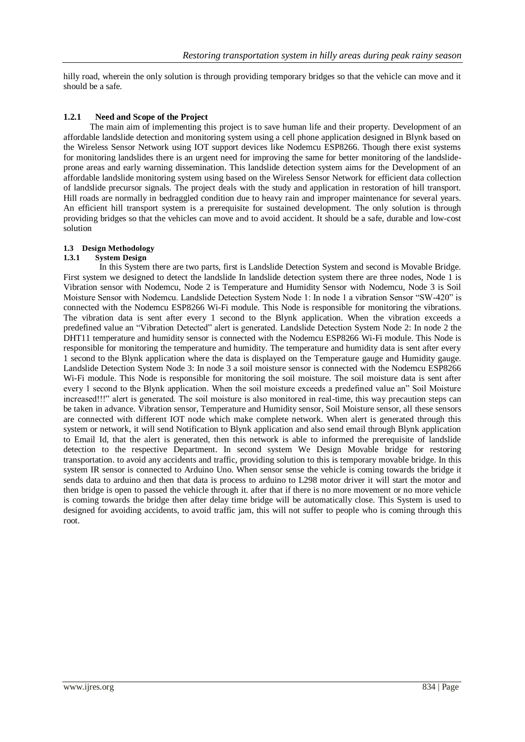hilly road, wherein the only solution is through providing temporary bridges so that the vehicle can move and it should be a safe.

## **1.2.1 Need and Scope of the Project**

The main aim of implementing this project is to save human life and their property. Development of an affordable landslide detection and monitoring system using a cell phone application designed in Blynk based on the Wireless Sensor Network using IOT support devices like Nodemcu ESP8266. Though there exist systems for monitoring landslides there is an urgent need for improving the same for better monitoring of the landslideprone areas and early warning dissemination. This landslide detection system aims for the Development of an affordable landslide monitoring system using based on the Wireless Sensor Network for efficient data collection of landslide precursor signals. The project deals with the study and application in restoration of hill transport. Hill roads are normally in bedraggled condition due to heavy rain and improper maintenance for several years. An efficient hill transport system is a prerequisite for sustained development. The only solution is through providing bridges so that the vehicles can move and to avoid accident. It should be a safe, durable and low-cost solution

## **1.3 Design Methodology**

### **1.3.1 System Design**

In this System there are two parts, first is Landslide Detection System and second is Movable Bridge. First system we designed to detect the landslide In landslide detection system there are three nodes. Node 1 is Vibration sensor with Nodemcu, Node 2 is Temperature and Humidity Sensor with Nodemcu, Node 3 is Soil Moisture Sensor with Nodemcu. Landslide Detection System Node 1: In node 1 a vibration Sensor "SW-420" is connected with the Nodemcu ESP8266 Wi-Fi module. This Node is responsible for monitoring the vibrations. The vibration data is sent after every 1 second to the Blynk application. When the vibration exceeds a predefined value an "Vibration Detected" alert is generated. Landslide Detection System Node 2: In node 2 the DHT11 temperature and humidity sensor is connected with the Nodemcu ESP8266 Wi-Fi module. This Node is responsible for monitoring the temperature and humidity. The temperature and humidity data is sent after every 1 second to the Blynk application where the data is displayed on the Temperature gauge and Humidity gauge. Landslide Detection System Node 3: In node 3 a soil moisture sensor is connected with the Nodemcu ESP8266 Wi-Fi module. This Node is responsible for monitoring the soil moisture. The soil moisture data is sent after every 1 second to the Blynk application. When the soil moisture exceeds a predefined value an" Soil Moisture increased!!!" alert is generated. The soil moisture is also monitored in real-time, this way precaution steps can be taken in advance. Vibration sensor, Temperature and Humidity sensor, Soil Moisture sensor, all these sensors are connected with different IOT node which make complete network. When alert is generated through this system or network, it will send Notification to Blynk application and also send email through Blynk application to Email Id, that the alert is generated, then this network is able to informed the prerequisite of landslide detection to the respective Department. In second system We Design Movable bridge for restoring transportation. to avoid any accidents and traffic, providing solution to this is temporary movable bridge. In this system IR sensor is connected to Arduino Uno. When sensor sense the vehicle is coming towards the bridge it sends data to arduino and then that data is process to arduino to L298 motor driver it will start the motor and then bridge is open to passed the vehicle through it. after that if there is no more movement or no more vehicle is coming towards the bridge then after delay time bridge will be automatically close. This System is used to designed for avoiding accidents, to avoid traffic jam, this will not suffer to people who is coming through this root.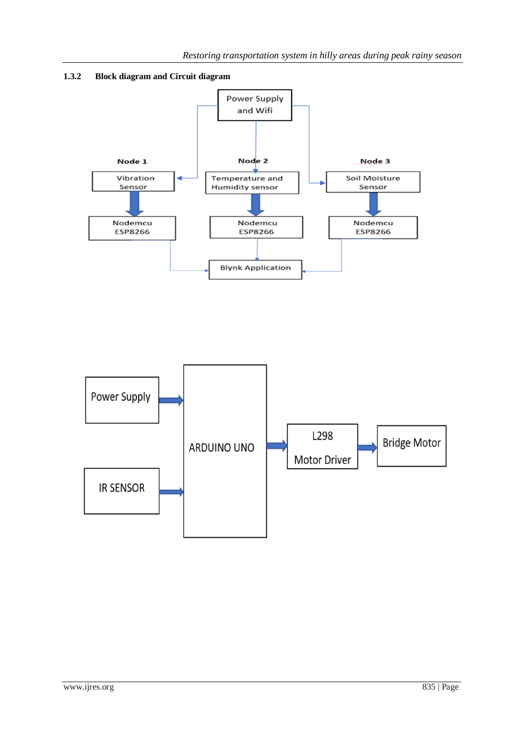



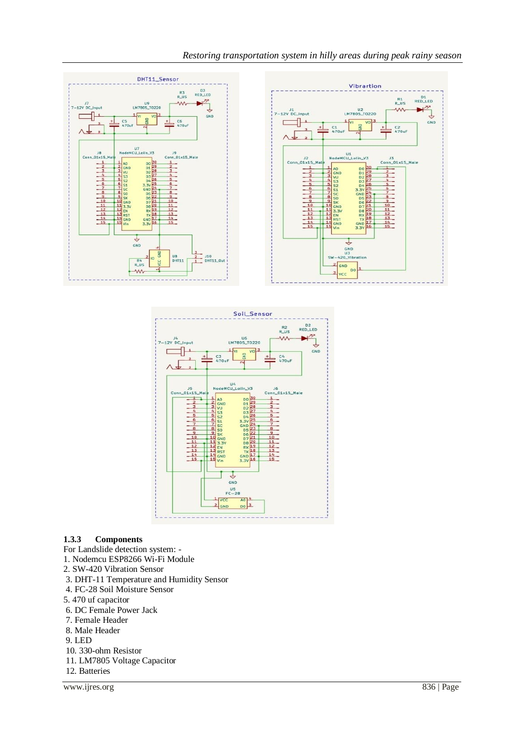

## **1.3.3 Components**

For Landslide detection system: -

- 1. Nodemcu ESP8266 Wi-Fi Module
- 2. SW-420 Vibration Sensor
- 3. DHT-11 Temperature and Humidity Sensor
- 4. FC-28 Soil Moisture Sensor
- 5. 470 uf capacitor
- 6. DC Female Power Jack
- 7. Female Header
- 8. Male Header
- 9. LED
- 10. 330-ohm Resistor
- 11. LM7805 Voltage Capacitor
- 12. Batteries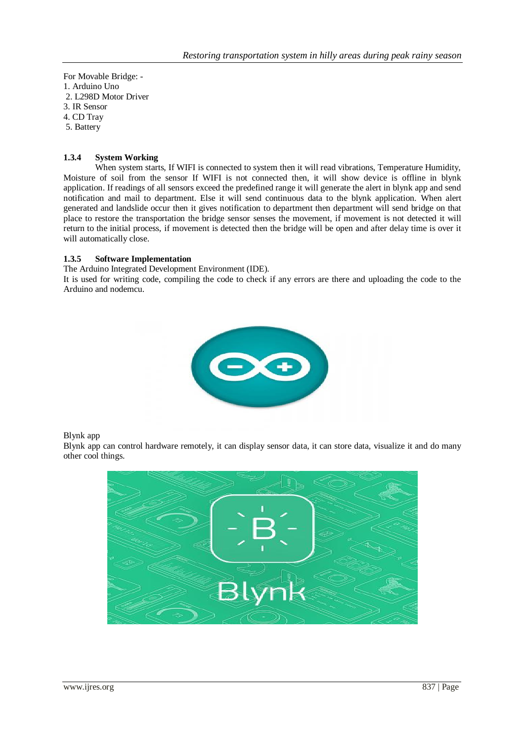For Movable Bridge: - 1. Arduino Uno 2. L298D Motor Driver 3. IR Sensor 4. CD Tray 5. Battery

## **1.3.4 System Working**

When system starts, If WIFI is connected to system then it will read vibrations, Temperature Humidity, Moisture of soil from the sensor If WIFI is not connected then, it will show device is offline in blynk application. If readings of all sensors exceed the predefined range it will generate the alert in blynk app and send notification and mail to department. Else it will send continuous data to the blynk application. When alert generated and landslide occur then it gives notification to department then department will send bridge on that place to restore the transportation the bridge sensor senses the movement, if movement is not detected it will return to the initial process, if movement is detected then the bridge will be open and after delay time is over it will automatically close.

## **1.3.5 Software Implementation**

The Arduino Integrated Development Environment (IDE).

It is used for writing code, compiling the code to check if any errors are there and uploading the code to the Arduino and nodemcu.



Blynk app

Blynk app can control hardware remotely, it can display sensor data, it can store data, visualize it and do many other cool things.

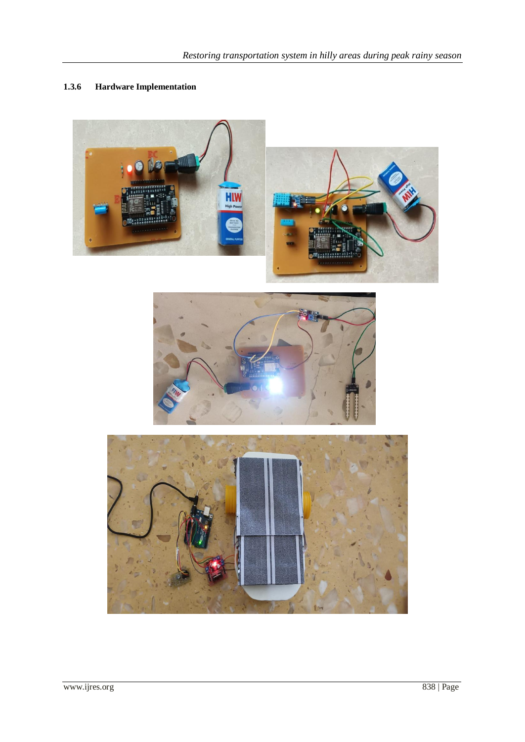# **1.3.6 Hardware Implementation**





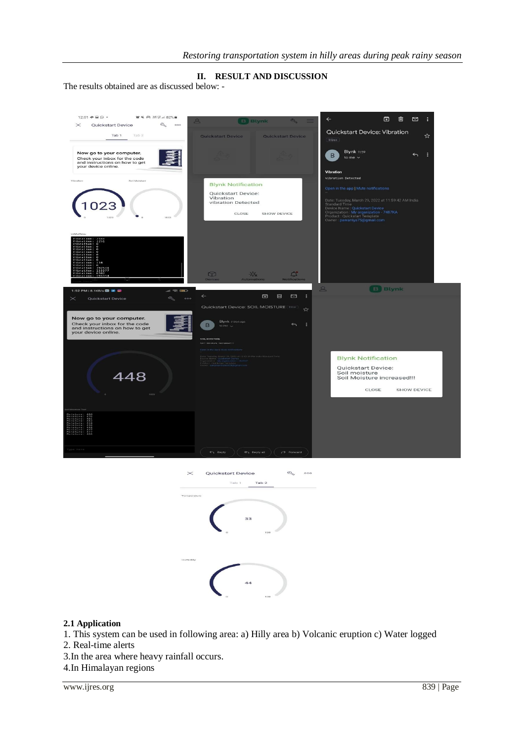## **II. RESULT AND DISCUSSION**

The results obtained are as discussed below: -





## **2.1 Application**

- 1. This system can be used in following area: a) Hilly area b) Volcanic eruption c) Water logged
- 2. Real-time alerts
- 3.In the area where heavy rainfall occurs.
- 4.In Himalayan regions